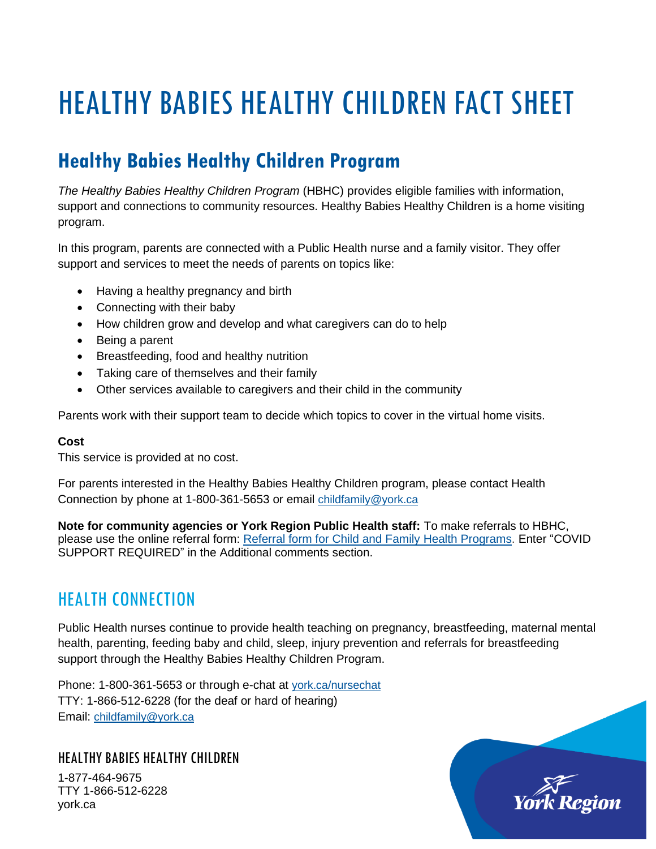# HEALTHY BABIES HEALTHY CHILDREN FACT SHEET

# **Healthy Babies Healthy Children Program**

*The Healthy Babies Healthy Children Program* (HBHC) provides eligible families with information, support and connections to community resources. Healthy Babies Healthy Children is a home visiting program.

In this program, parents are connected with a Public Health nurse and a family visitor. They offer support and services to meet the needs of parents on topics like:

- Having a healthy pregnancy and birth
- Connecting with their baby
- How children grow and develop and what caregivers can do to help
- Being a parent
- Breastfeeding, food and healthy nutrition
- Taking care of themselves and their family
- Other services available to caregivers and their child in the community

Parents work with their support team to decide which topics to cover in the virtual home visits.

#### **Cost**

This service is provided at no cost.

For parents interested in the Healthy Babies Healthy Children program, please contact Health Connection by phone at 1-800-361-5653 or email [childfamily@york.ca](mailto:childfamily@york.ca)

**Note for community agencies or York Region Public Health staff:** To make referrals to HBHC, please use the online referral form: Referral form for Child and Family Health [Programs.](https://www.york.ca/wps/portal/yorkhome/health/CFHReferralForm) Enter "COVID SUPPORT REQUIRED" in the Additional comments section.

### HEALTH CONNECTION

Public Health nurses continue to provide health teaching on pregnancy, breastfeeding, maternal mental health, parenting, feeding baby and child, sleep, injury prevention and referrals for breastfeeding support through the Healthy Babies Healthy Children Program.

Phone: 1-800-361-5653 or through e-chat at [york.ca/nursechat](https://www.york.ca/nursechat) TTY: 1-866-512-6228 (for the deaf or hard of hearing) Email: [childfamily@york.ca](mailto:childfamily@york.ca)

#### HEALTHY BABIES HEALTHY CHILDREN

1-877-464-9675 TTY 1-866-512-6228 york.ca